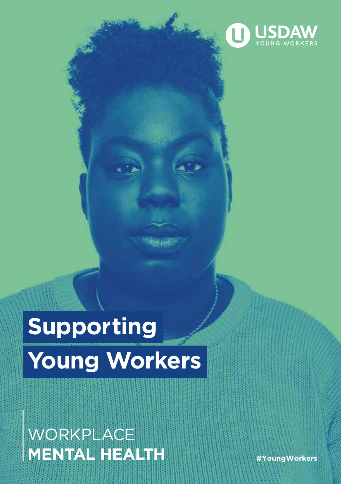

# **Supporting Young Workers**

### **WORKPLACE MENTAL HEALTH** *#YoungWorkers*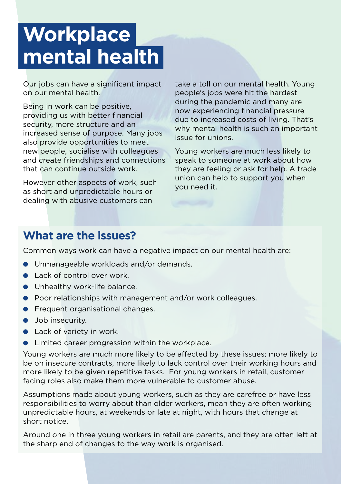## **Workplace mental health**

Our jobs can have a significant impact on our mental health.

Being in work can be positive, providing us with better financial security, more structure and an increased sense of purpose. Many jobs also provide opportunities to meet new people, socialise with colleagues and create friendships and connections that can continue outside work.

However other aspects of work, such as short and unpredictable hours or dealing with abusive customers can

take a toll on our mental health. Young people's jobs were hit the hardest during the pandemic and many are now experiencing financial pressure due to increased costs of living. That's why mental health is such an important issue for unions.

Young workers are much less likely to speak to someone at work about how they are feeling or ask for help. A trade union can help to support you when you need it.

#### **What are the issues?**

Common ways work can have a negative impact on our mental health are:

- **•** Unmanageable workloads and/or demands.
- $\bullet$  Lack of control over work.
- $\bullet$  Unhealthy work-life balance.
- **•** Poor relationships with management and/or work colleagues.
- **•** Frequent organisational changes.
- $\bullet$  Job insecurity.
- $\bullet$  Lack of variety in work.
- Limited career progression within the workplace.

Young workers are much more likely to be affected by these issues; more likely to be on insecure contracts, more likely to lack control over their working hours and more likely to be given repetitive tasks. For young workers in retail, customer facing roles also make them more vulnerable to customer abuse.

Assumptions made about young workers, such as they are carefree or have less responsibilities to worry about than older workers, mean they are often working unpredictable hours, at weekends or late at night, with hours that change at short notice.

Around one in three young workers in retail are parents, and they are often left at the sharp end of changes to the way work is organised.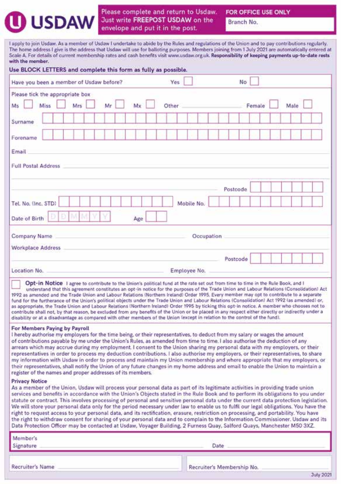## **USDAW**

**Recruiter's Name** 

Please complete and return to Usdaw. Just write FREEPOST USDAW on the envelope and put it in the post.

FOR OFFICE USE ONLY

Branch No.

I apply to join Usdaw. As a member of Usdaw I undertake to abide by the Rules and regulations of the Union and to pay contributions regularly. The home address I give is the address that Usdaw will use for balloting purposes. Members joining from 1 July 2021 are automatically entered at Scale A. For details of current membership rates and cash benefits visit www.usdaw.org.uk. Responsibility of keeping payments up-to-date rests with the member.

| Use BLOCK LETTERS and complete this form as fully as possible.                                                                                                                                                                                                                                                                                                                                                                                                                                                                                                                                                                                                                                                                                                                                                                                                                                                                                                                |                                                                                                                                                                                                                                                                             |     |  |     |  |       |              |  |      |  |          |        |  |  |      |  |  |
|-------------------------------------------------------------------------------------------------------------------------------------------------------------------------------------------------------------------------------------------------------------------------------------------------------------------------------------------------------------------------------------------------------------------------------------------------------------------------------------------------------------------------------------------------------------------------------------------------------------------------------------------------------------------------------------------------------------------------------------------------------------------------------------------------------------------------------------------------------------------------------------------------------------------------------------------------------------------------------|-----------------------------------------------------------------------------------------------------------------------------------------------------------------------------------------------------------------------------------------------------------------------------|-----|--|-----|--|-------|--------------|--|------|--|----------|--------|--|--|------|--|--|
| Have you been a member of Usdaw before?                                                                                                                                                                                                                                                                                                                                                                                                                                                                                                                                                                                                                                                                                                                                                                                                                                                                                                                                       |                                                                                                                                                                                                                                                                             |     |  |     |  | Yes   |              |  |      |  | No       |        |  |  |      |  |  |
| Please tick the appropriate box                                                                                                                                                                                                                                                                                                                                                                                                                                                                                                                                                                                                                                                                                                                                                                                                                                                                                                                                               |                                                                                                                                                                                                                                                                             |     |  |     |  |       |              |  |      |  |          |        |  |  |      |  |  |
| Ms                                                                                                                                                                                                                                                                                                                                                                                                                                                                                                                                                                                                                                                                                                                                                                                                                                                                                                                                                                            | Miss                                                                                                                                                                                                                                                                        | Mrs |  | Mx  |  | Other |              |  |      |  |          | Female |  |  | Male |  |  |
| Surname                                                                                                                                                                                                                                                                                                                                                                                                                                                                                                                                                                                                                                                                                                                                                                                                                                                                                                                                                                       |                                                                                                                                                                                                                                                                             |     |  |     |  |       |              |  |      |  |          |        |  |  |      |  |  |
| Forename                                                                                                                                                                                                                                                                                                                                                                                                                                                                                                                                                                                                                                                                                                                                                                                                                                                                                                                                                                      |                                                                                                                                                                                                                                                                             |     |  |     |  |       |              |  |      |  |          |        |  |  |      |  |  |
| Email                                                                                                                                                                                                                                                                                                                                                                                                                                                                                                                                                                                                                                                                                                                                                                                                                                                                                                                                                                         |                                                                                                                                                                                                                                                                             |     |  |     |  |       |              |  |      |  |          |        |  |  |      |  |  |
| <b>Full Postal Address</b>                                                                                                                                                                                                                                                                                                                                                                                                                                                                                                                                                                                                                                                                                                                                                                                                                                                                                                                                                    |                                                                                                                                                                                                                                                                             |     |  |     |  |       |              |  |      |  |          |        |  |  |      |  |  |
|                                                                                                                                                                                                                                                                                                                                                                                                                                                                                                                                                                                                                                                                                                                                                                                                                                                                                                                                                                               |                                                                                                                                                                                                                                                                             |     |  |     |  |       |              |  |      |  | Postcode |        |  |  |      |  |  |
| Tel. No. (Inc. STD)                                                                                                                                                                                                                                                                                                                                                                                                                                                                                                                                                                                                                                                                                                                                                                                                                                                                                                                                                           |                                                                                                                                                                                                                                                                             |     |  |     |  |       | Mobile No.   |  |      |  |          |        |  |  |      |  |  |
| Date of Birth                                                                                                                                                                                                                                                                                                                                                                                                                                                                                                                                                                                                                                                                                                                                                                                                                                                                                                                                                                 |                                                                                                                                                                                                                                                                             |     |  | Age |  |       |              |  |      |  |          |        |  |  |      |  |  |
| Company Name                                                                                                                                                                                                                                                                                                                                                                                                                                                                                                                                                                                                                                                                                                                                                                                                                                                                                                                                                                  |                                                                                                                                                                                                                                                                             |     |  |     |  |       | Occupation   |  |      |  |          |        |  |  |      |  |  |
| <b>Workplace Address</b>                                                                                                                                                                                                                                                                                                                                                                                                                                                                                                                                                                                                                                                                                                                                                                                                                                                                                                                                                      |                                                                                                                                                                                                                                                                             |     |  |     |  |       |              |  |      |  |          |        |  |  |      |  |  |
|                                                                                                                                                                                                                                                                                                                                                                                                                                                                                                                                                                                                                                                                                                                                                                                                                                                                                                                                                                               |                                                                                                                                                                                                                                                                             |     |  |     |  |       |              |  |      |  | Postcode |        |  |  |      |  |  |
| Location No.                                                                                                                                                                                                                                                                                                                                                                                                                                                                                                                                                                                                                                                                                                                                                                                                                                                                                                                                                                  |                                                                                                                                                                                                                                                                             |     |  |     |  |       | Employee No. |  |      |  |          |        |  |  |      |  |  |
| 1992 as amended and the Trade Union and Labour Relations (Northern Ireland) Order 1995. Every member may opt to contribute to a separate<br>fund for the furtherance of the Union's political objects under the Trade Union and Labour Relations (Consolidation) Act 1992 (as amended) or,<br>as appropriate, the Trade Union and Labour Relations (Northern Ireland) Order 1995 by ticking this opt-in notice. A member who chooses not to<br>contribute shall not, by that reason, be excluded from any benefits of the Union or be placed in any respect either directly or indirectly under a<br>disability or at a disadvantage as compared with other members of the Union lexcept in relation to the control of the fund).                                                                                                                                                                                                                                             | Opt-in Notice I agree to contribute to the Union's political fund at the rate set out from time to time in the Rule Book, and I<br>understand that this agreement constitutes an opt-in notice for the purposes of the Trade Union and Labour Relations (Consolidation) Act |     |  |     |  |       |              |  |      |  |          |        |  |  |      |  |  |
| For Members Paying by Payroll<br>I hereby authorise my employers for the time being, or their representatives, to deduct from my salary or wages the amount<br>of contributions payable by me under the Union's Rules, as amended from time to time. I also authorise the deduction of any<br>arrears which may accrue during my employment. I consent to the Union sharing my personal data with my employers, or their<br>representatives in order to process my deduction contributions. I also authorise my employers, or their representatives, to share<br>my information with Usdaw in order to process and maintain my Union membership and where appropriate that my employers, or<br>their representatives, shall notify the Union of any future changes in my home address and email to enable the Union to maintain a<br>register of the names and proper addresses of its members.                                                                               |                                                                                                                                                                                                                                                                             |     |  |     |  |       |              |  |      |  |          |        |  |  |      |  |  |
| <b>Privacy Notice</b><br>As a member of the Union, Usdaw will process your personal data as part of its legitimate activities in providing trade union<br>services and benefits in accordance with the Union's Objects stated in the Rule Book and to perform its obligations to you under<br>statute or contract. This involves processing of personal and sensitive personal data under the current data protection legislation.<br>We will store your personal data only for the period necessary under law to enable us to fulfil our legal obligations. You have the<br>right to request access to your personal data, and its rectification, erasure, restriction on processing, and portability. You have<br>the right to withdraw consent for sharing of your personal data and to complain to the Information Commissioner. Usdaw and its<br>Data Protection Officer may be contacted at Usdaw, Voyager Building, 2 Furness Quay, Salford Quays, Manchester M50 3XZ. |                                                                                                                                                                                                                                                                             |     |  |     |  |       |              |  |      |  |          |        |  |  |      |  |  |
| Member's<br>Signature                                                                                                                                                                                                                                                                                                                                                                                                                                                                                                                                                                                                                                                                                                                                                                                                                                                                                                                                                         |                                                                                                                                                                                                                                                                             |     |  |     |  |       |              |  | Date |  |          |        |  |  |      |  |  |

Recruiter's Membership No.